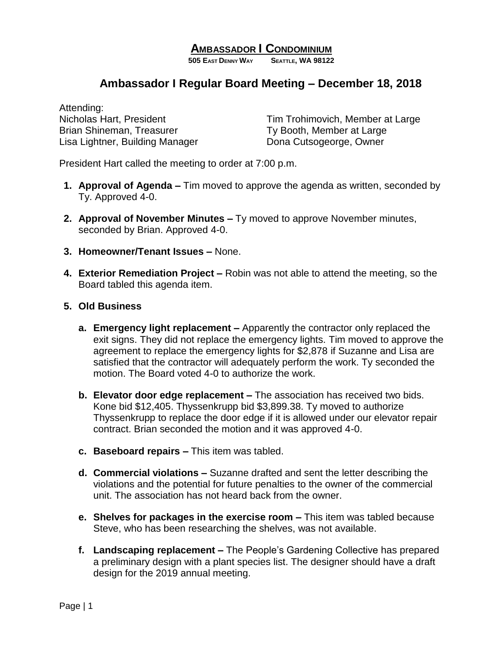## **AMBASSADOR I CONDOMINIUM**

**505 EAST DENNY WAY SEATTLE, WA 98122**

## **Ambassador I Regular Board Meeting – December 18, 2018**

Attending: Brian Shineman, Treasurer Ty Booth, Member at Large Lisa Lightner, Building Manager Dona Cutsogeorge, Owner

Nicholas Hart, President Tim Trohimovich, Member at Large

President Hart called the meeting to order at 7:00 p.m.

- **1. Approval of Agenda –** Tim moved to approve the agenda as written, seconded by Ty. Approved 4-0.
- **2. Approval of November Minutes –** Ty moved to approve November minutes, seconded by Brian. Approved 4-0.
- **3. Homeowner/Tenant Issues –** None.
- **4. Exterior Remediation Project –** Robin was not able to attend the meeting, so the Board tabled this agenda item.
- **5. Old Business**
	- **a. Emergency light replacement –** Apparently the contractor only replaced the exit signs. They did not replace the emergency lights. Tim moved to approve the agreement to replace the emergency lights for \$2,878 if Suzanne and Lisa are satisfied that the contractor will adequately perform the work. Ty seconded the motion. The Board voted 4-0 to authorize the work.
	- **b. Elevator door edge replacement –** The association has received two bids. Kone bid \$12,405. Thyssenkrupp bid \$3,899.38. Ty moved to authorize Thyssenkrupp to replace the door edge if it is allowed under our elevator repair contract. Brian seconded the motion and it was approved 4-0.
	- **c. Baseboard repairs –** This item was tabled.
	- **d. Commercial violations –** Suzanne drafted and sent the letter describing the violations and the potential for future penalties to the owner of the commercial unit. The association has not heard back from the owner.
	- **e. Shelves for packages in the exercise room –** This item was tabled because Steve, who has been researching the shelves, was not available.
	- **f. Landscaping replacement –** The People's Gardening Collective has prepared a preliminary design with a plant species list. The designer should have a draft design for the 2019 annual meeting.